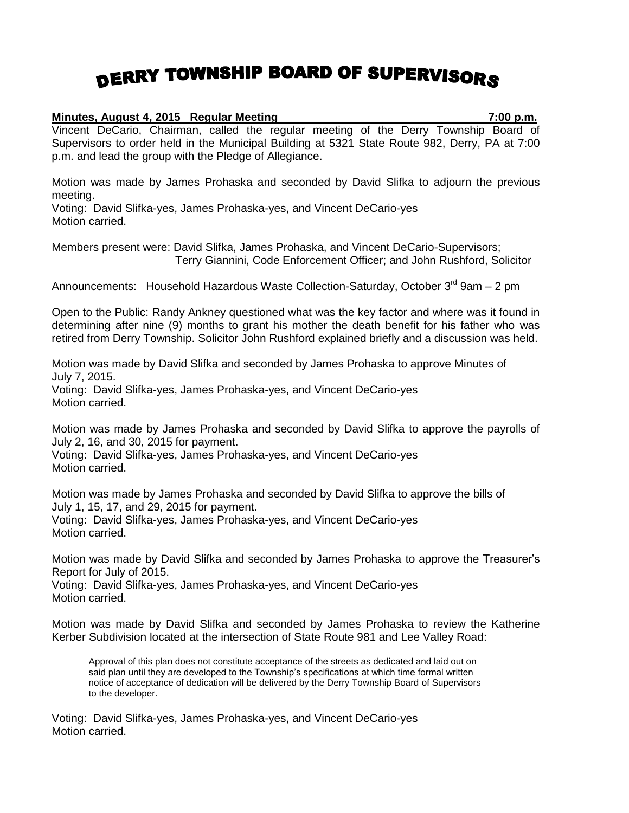## DERRY TOWNSHIP BOARD OF SUPERVISORS

## **Minutes, August 4, 2015 Regular Meeting 7:00 p.m.** Vincent DeCario, Chairman, called the regular meeting of the Derry Township Board of Supervisors to order held in the Municipal Building at 5321 State Route 982, Derry, PA at 7:00

Motion was made by James Prohaska and seconded by David Slifka to adjourn the previous meeting.

Voting: David Slifka-yes, James Prohaska-yes, and Vincent DeCario-yes Motion carried.

p.m. and lead the group with the Pledge of Allegiance.

Members present were: David Slifka, James Prohaska, and Vincent DeCario-Supervisors; Terry Giannini, Code Enforcement Officer; and John Rushford, Solicitor

Announcements: Household Hazardous Waste Collection-Saturday, October 3<sup>rd</sup> 9am – 2 pm

Open to the Public: Randy Ankney questioned what was the key factor and where was it found in determining after nine (9) months to grant his mother the death benefit for his father who was retired from Derry Township. Solicitor John Rushford explained briefly and a discussion was held.

Motion was made by David Slifka and seconded by James Prohaska to approve Minutes of July 7, 2015.

Voting: David Slifka-yes, James Prohaska-yes, and Vincent DeCario-yes Motion carried.

Motion was made by James Prohaska and seconded by David Slifka to approve the payrolls of July 2, 16, and 30, 2015 for payment.

Voting: David Slifka-yes, James Prohaska-yes, and Vincent DeCario-yes Motion carried.

Motion was made by James Prohaska and seconded by David Slifka to approve the bills of July 1, 15, 17, and 29, 2015 for payment.

Voting: David Slifka-yes, James Prohaska-yes, and Vincent DeCario-yes Motion carried.

Motion was made by David Slifka and seconded by James Prohaska to approve the Treasurer's Report for July of 2015.

Voting: David Slifka-yes, James Prohaska-yes, and Vincent DeCario-yes Motion carried.

Motion was made by David Slifka and seconded by James Prohaska to review the Katherine Kerber Subdivision located at the intersection of State Route 981 and Lee Valley Road:

Approval of this plan does not constitute acceptance of the streets as dedicated and laid out on said plan until they are developed to the Township's specifications at which time formal written notice of acceptance of dedication will be delivered by the Derry Township Board of Supervisors to the developer.

Voting: David Slifka-yes, James Prohaska-yes, and Vincent DeCario-yes Motion carried.